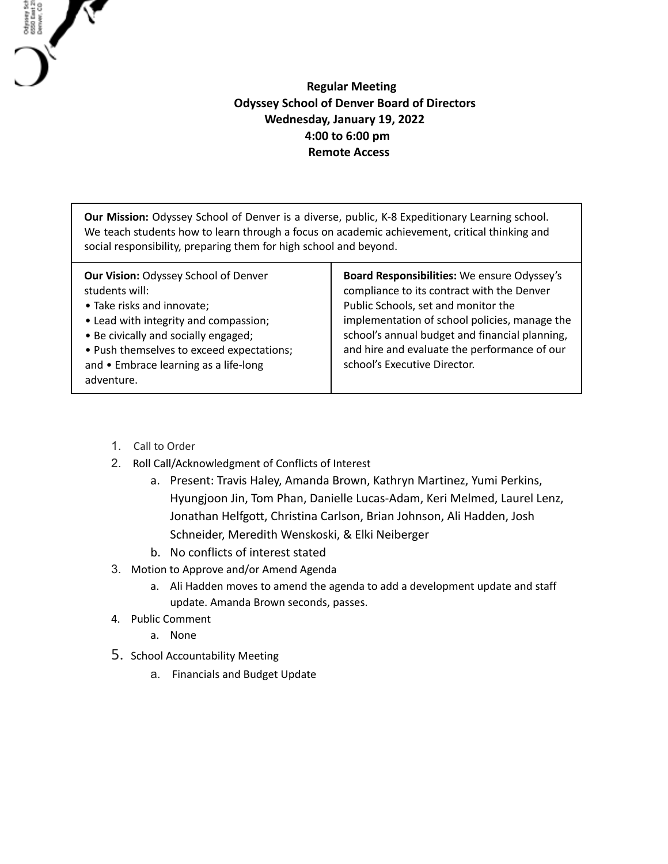## **Regular Meeting Odyssey School of Denver Board of Directors Wednesday, January 19, 2022 4:00 to 6:00 pm Remote Access**

**Our Mission:** Odyssey School of Denver is a diverse, public, K-8 Expeditionary Learning school. We teach students how to learn through a focus on academic achievement, critical thinking and social responsibility, preparing them for high school and beyond.

1. Call to Order

Odysey Sch<br>6550 East 21<br>Denver, CO

- 2. Roll Call/Acknowledgment of Conflicts of Interest
	- a. Present: Travis Haley, Amanda Brown, Kathryn Martinez, Yumi Perkins, Hyungjoon Jin, Tom Phan, Danielle Lucas-Adam, Keri Melmed, Laurel Lenz, Jonathan Helfgott, Christina Carlson, Brian Johnson, Ali Hadden, Josh Schneider, Meredith Wenskoski, & Elki Neiberger
	- b. No conflicts of interest stated
- 3. Motion to Approve and/or Amend Agenda
	- a. Ali Hadden moves to amend the agenda to add a development update and staff update. Amanda Brown seconds, passes.
- 4. Public Comment
	- a. None
- 5. School Accountability Meeting
	- a. Financials and Budget Update